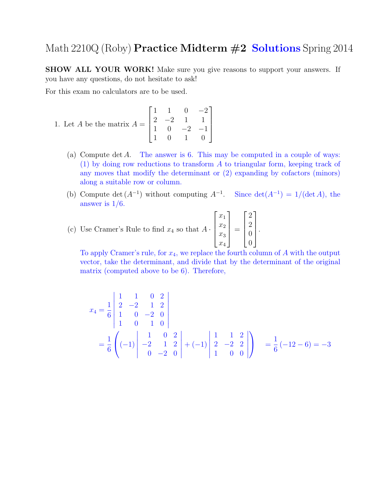## Math 2210Q (Roby) **Practice Midterm #2 Solutions** Spring 2014

SHOW ALL YOUR WORK! Make sure you give reasons to support your answers. If you have any questions, do not hesitate to ask!

For this exam no calculators are to be used.

1. Let *A* be the matrix 
$$
A = \begin{bmatrix} 1 & 1 & 0 & -2 \\ 2 & -2 & 1 & 1 \\ 1 & 0 & -2 & -1 \\ 1 & 0 & 1 & 0 \end{bmatrix}
$$

- (a) Compute det A. The answer is 6. This may be computed in a couple of ways: (1) by doing row reductions to transform A to triangular form, keeping track of any moves that modify the determinant or (2) expanding by cofactors (minors) along a suitable row or column.
- (b) Compute det  $(A^{-1})$  without computing  $A^{-1}$ . Since det $(A^{-1}) = 1/(\det A)$ , the answer is  $1/6$ .

(c) Use Cramer's Rule to find 
$$
x_4
$$
 so that  $A \cdot \begin{bmatrix} x_1 \\ x_2 \\ x_3 \\ x_4 \end{bmatrix} = \begin{bmatrix} 2 \\ 2 \\ 0 \\ 0 \end{bmatrix}$ 

To apply Cramer's rule, for  $x_4$ , we replace the fourth column of  $A$  with the output vector, take the determinant, and divide that by the determinant of the original matrix (computed above to be 6). Therefore,

.

$$
x_4 = \frac{1}{6} \begin{vmatrix} 1 & 1 & 0 & 2 \\ 2 & -2 & 1 & 2 \\ 1 & 0 & -2 & 0 \\ 1 & 0 & 1 & 0 \end{vmatrix}
$$
  
=  $\frac{1}{6} \left( (-1) \begin{vmatrix} 1 & 0 & 2 \\ -2 & 1 & 2 \\ 0 & -2 & 0 \end{vmatrix} + (-1) \begin{vmatrix} 1 & 1 & 2 \\ 2 & -2 & 2 \\ 1 & 0 & 0 \end{vmatrix} \right) = \frac{1}{6} (-12 - 6) = -3$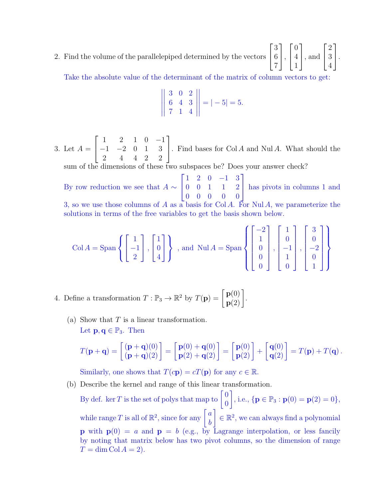2. Find the volume of the parallelepiped determined by the vectors  $\sqrt{ }$  $\overline{1}$ 3 6 7 1  $\vert$ ,  $\sqrt{ }$  $\overline{1}$ 0 4 1 1 , and  $\sqrt{ }$  $\overline{1}$ 2 3 4 1  $\vert \cdot$ 

Take the absolute value of the determinant of the matrix of column vectors to get:  $\mathbb{R}^2$ 

$$
\left\| \begin{array}{ccc} 3 & 0 & 2 \\ 6 & 4 & 3 \\ 7 & 1 & 4 \end{array} \right\| = |-5| = 5.
$$

3. Let  $A =$  $\sqrt{ }$  $\overline{1}$ 1 2 1 0 −1 −1 −2 0 1 3 2 4 4 2 2 1 . Find bases for  $Col A$  and  $Nul A$ . What should the

sum of the dimensions of these two subspaces be? Does your answer check?

By row reduction we see that  $A \sim$  $\Gamma$  $\mathbf{I}$ 1 2 0 −1 3 0 0 1 1 2 0 0 0 0 0 1 has pivots in columns 1 and 3, so we use those columns of A as a basis for Col A. For Nul A, we parameterize the solutions in terms of the free variables to get the basis shown below.

$$
\text{Col } A = \text{Span}\left\{ \begin{bmatrix} 1 \\ -1 \\ 2 \end{bmatrix}, \begin{bmatrix} 1 \\ 0 \\ 4 \end{bmatrix} \right\}, \text{ and } \text{Nul } A = \text{Span}\left\{ \begin{bmatrix} -2 \\ 1 \\ 0 \\ 0 \\ 0 \end{bmatrix}, \begin{bmatrix} 1 \\ 0 \\ -1 \\ 1 \\ 0 \end{bmatrix}, \begin{bmatrix} 3 \\ 0 \\ -2 \\ 0 \\ 1 \end{bmatrix} \right\}
$$

4. Define a transformation  $T : \mathbb{P}_3 \to \mathbb{R}^2$  by  $T(\mathbf{p}) = \begin{bmatrix} \mathbf{p}(0) \\ \mathbf{p}(2) \end{bmatrix}$ .

(a) Show that  $T$  is a linear transformation. Let  $\mathbf{p}, \mathbf{q} \in \mathbb{P}_3$ . Then

$$
T(\mathbf{p}+\mathbf{q}) = \begin{bmatrix} (\mathbf{p}+\mathbf{q})(0) \\ (\mathbf{p}+\mathbf{q})(2) \end{bmatrix} = \begin{bmatrix} \mathbf{p}(0) + \mathbf{q}(0) \\ \mathbf{p}(2) + \mathbf{q}(2) \end{bmatrix} = \begin{bmatrix} \mathbf{p}(0) \\ \mathbf{p}(2) \end{bmatrix} + \begin{bmatrix} \mathbf{q}(0) \\ \mathbf{q}(2) \end{bmatrix} = T(\mathbf{p}) + T(\mathbf{q}).
$$

Similarly, one shows that  $T(c\mathbf{p}) = cT(\mathbf{p})$  for any  $c \in \mathbb{R}$ .

(b) Describe the kernel and range of this linear transformation.

By def. ker T is the set of polys that map to  $\begin{bmatrix} 0 \\ 0 \end{bmatrix}$ 0 , i.e.,  $\{ \mathbf{p} \in \mathbb{P}_3 : \mathbf{p}(0) = \mathbf{p}(2) = 0 \},\$ while range T is all of  $\mathbb{R}^2$ , since for any  $\begin{bmatrix} a \\ b \end{bmatrix}$ b  $\Big] \in \mathbb{R}^2$ , we can always find a polynomial **p** with  $p(0) = a$  and  $p = b$  (e.g., by Lagrange interpolation, or less fancily by noting that matrix below has two pivot columns, so the dimension of range  $T = \dim \mathrm{Col } A = 2$ .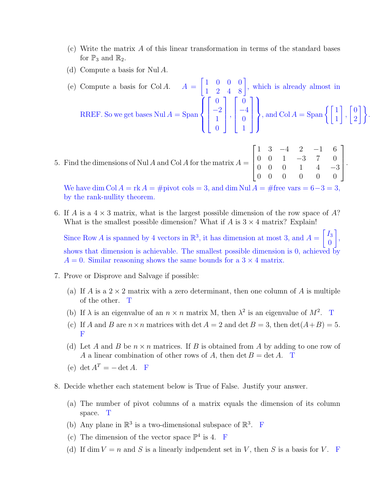- (c) Write the matrix A of this linear transformation in terms of the standard bases for  $\mathbb{P}_3$  and  $\mathbb{R}_2$ .
- (d) Compute a basis for Nul A.

(e) Compute a basis for Col A.  $A =$  $\begin{bmatrix} 1 & 0 & 0 & 0 \\ 1 & 2 & 4 & 8 \end{bmatrix}$ , which is already almost in RREF. So we get bases  $\text{Nul } A = \text{Span } A$  $\overline{1}$  $\int$  $\overline{\mathcal{L}}$  $\sqrt{ }$  $\overline{\phantom{a}}$ 0 −2 1  $\overline{0}$ 1  $\parallel$ ,  $\sqrt{ }$  $\overline{\phantom{a}}$ 0 −4 0 1 1  $\parallel$  $\mathcal{L}$  $\overline{\mathcal{L}}$  $\int$ , and  $\text{Col } A = \text{Span } \left\{ \begin{bmatrix} 1 \\ 1 \end{bmatrix} \right\}$ 1 ,  $\sqrt{0}$  $\begin{bmatrix} 0 \\ 2 \end{bmatrix}$ .

5. Find the dimensions of Nul A and Col A for the matrix  $A =$  $\sqrt{ }$  1 3 −4 2 −1 6 0 0 1 −3 7 0 0 0 0 1 4 −3 0 0 0 0 0 0 1  $\begin{array}{c} \begin{array}{c} \begin{array}{c} \end{array} \end{array} \end{array}$ .

We have dim Col  $A = \text{rk } A = \text{\#pivot } \text{cols} = 3$ , and dim Nul  $A = \text{\#free } \text{vars} = 6-3 = 3$ by the rank-nullity theorem.

6. If A is a  $4 \times 3$  matrix, what is the largest possible dimension of the row space of A? What is the smallest possible dimension? What if A is  $3 \times 4$  matrix? Explain!

Since Row A is spanned by 4 vectors in  $\mathbb{R}^3$ , it has dimension at most 3, and  $A =$  $\lceil I_3 \rceil$  $\boldsymbol{0}$ 1 , shows that dimension is achievable. The smallest possible dimension is 0, achieved by  $A = 0$ . Similar reasoning shows the same bounds for a  $3 \times 4$  matrix.

- 7. Prove or Disprove and Salvage if possible:
	- (a) If A is a  $2 \times 2$  matrix with a zero determinant, then one column of A is multiple of the other. T
	- (b) If  $\lambda$  is an eigenvalue of an  $n \times n$  matrix M, then  $\lambda^2$  is an eigenvalue of  $M^2$ . T
	- (c) If A and B are  $n \times n$  matrices with det  $A = 2$  and det  $B = 3$ , then  $\det(A + B) = 5$ . F
	- (d) Let A and B be  $n \times n$  matrices. If B is obtained from A by adding to one row of A a linear combination of other rows of A, then det  $B = \det A$ . T
	- (e) det  $A^T = \det A$ . F
- 8. Decide whether each statement below is True of False. Justify your answer.
	- (a) The number of pivot columns of a matrix equals the dimension of its column space. T
	- (b) Any plane in  $\mathbb{R}^3$  is a two-dimensional subspace of  $\mathbb{R}^3$ . F
	- (c) The dimension of the vector space  $\mathbb{P}^4$  is 4. F
	- (d) If dim  $V = n$  and S is a linearly indpendent set in V, then S is a basis for V. F